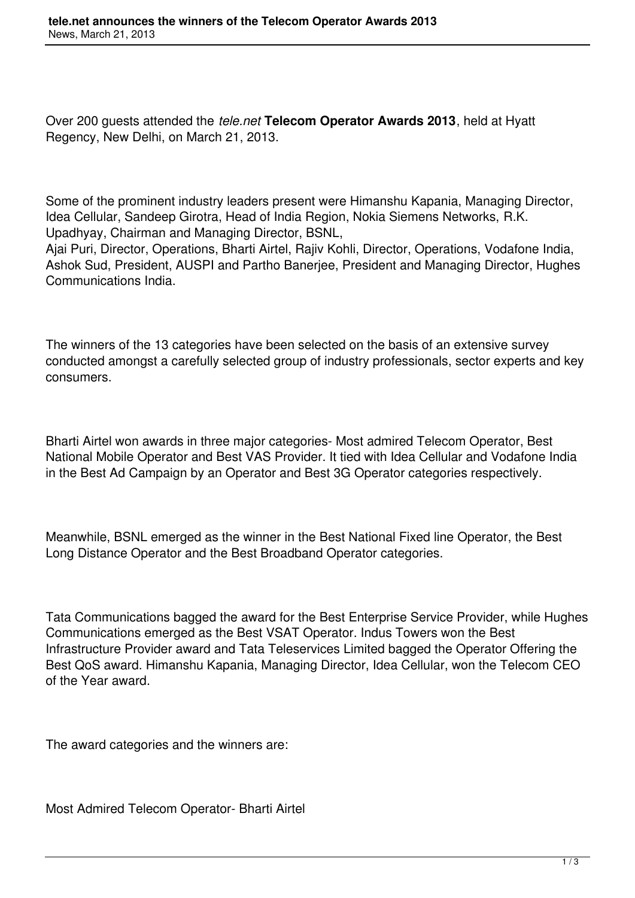Over 200 guests attended the *tele.net* **Telecom Operator Awards 2013**, held at Hyatt Regency, New Delhi, on March 21, 2013.

Some of the prominent industry leaders present were Himanshu Kapania, Managing Director, Idea Cellular, Sandeep Girotra, Head of India Region, Nokia Siemens Networks, R.K. Upadhyay, Chairman and Managing Director, BSNL,

Ajai Puri, Director, Operations, Bharti Airtel, Rajiv Kohli, Director, Operations, Vodafone India, Ashok Sud, President, AUSPI and Partho Banerjee, President and Managing Director, Hughes Communications India.

The winners of the 13 categories have been selected on the basis of an extensive survey conducted amongst a carefully selected group of industry professionals, sector experts and key consumers.

Bharti Airtel won awards in three major categories- Most admired Telecom Operator, Best National Mobile Operator and Best VAS Provider. It tied with Idea Cellular and Vodafone India in the Best Ad Campaign by an Operator and Best 3G Operator categories respectively.

Meanwhile, BSNL emerged as the winner in the Best National Fixed line Operator, the Best Long Distance Operator and the Best Broadband Operator categories.

Tata Communications bagged the award for the Best Enterprise Service Provider, while Hughes Communications emerged as the Best VSAT Operator. Indus Towers won the Best Infrastructure Provider award and Tata Teleservices Limited bagged the Operator Offering the Best QoS award. Himanshu Kapania, Managing Director, Idea Cellular, won the Telecom CEO of the Year award.

The award categories and the winners are:

Most Admired Telecom Operator- Bharti Airtel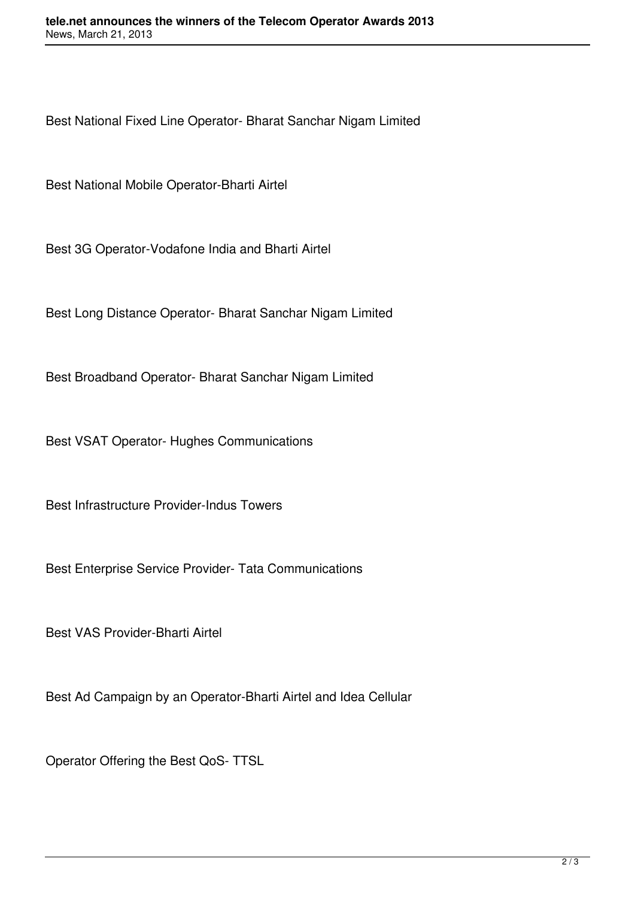Best National Fixed Line Operator- Bharat Sanchar Nigam Limited

Best National Mobile Operator-Bharti Airtel

Best 3G Operator-Vodafone India and Bharti Airtel

Best Long Distance Operator- Bharat Sanchar Nigam Limited

Best Broadband Operator- Bharat Sanchar Nigam Limited

Best VSAT Operator- Hughes Communications

Best Infrastructure Provider-Indus Towers

Best Enterprise Service Provider- Tata Communications

Best VAS Provider-Bharti Airtel

Best Ad Campaign by an Operator-Bharti Airtel and Idea Cellular

Operator Offering the Best QoS- TTSL